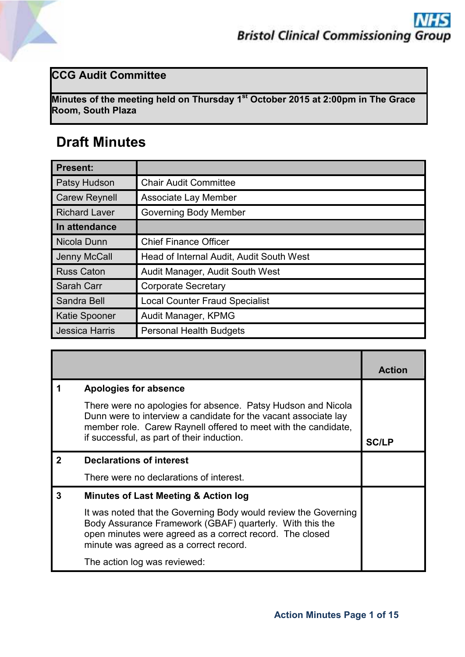## **CCG Audit Committee**

**Minutes of the meeting held on Thursday 1 st October 2015 at 2:00pm in The Grace Room, South Plaza**

## **Draft Minutes**

| <b>Present:</b>       |                                          |
|-----------------------|------------------------------------------|
| Patsy Hudson          | <b>Chair Audit Committee</b>             |
| <b>Carew Reynell</b>  | <b>Associate Lay Member</b>              |
| <b>Richard Laver</b>  | <b>Governing Body Member</b>             |
| In attendance         |                                          |
| Nicola Dunn           | <b>Chief Finance Officer</b>             |
| Jenny McCall          | Head of Internal Audit, Audit South West |
| <b>Russ Caton</b>     | Audit Manager, Audit South West          |
| Sarah Carr            | <b>Corporate Secretary</b>               |
| Sandra Bell           | <b>Local Counter Fraud Specialist</b>    |
| <b>Katie Spooner</b>  | Audit Manager, KPMG                      |
| <b>Jessica Harris</b> | <b>Personal Health Budgets</b>           |

|   |                                                                                                                                                                                                                                                 | <b>Action</b> |
|---|-------------------------------------------------------------------------------------------------------------------------------------------------------------------------------------------------------------------------------------------------|---------------|
|   | <b>Apologies for absence</b>                                                                                                                                                                                                                    |               |
|   | There were no apologies for absence. Patsy Hudson and Nicola<br>Dunn were to interview a candidate for the vacant associate lay<br>member role. Carew Raynell offered to meet with the candidate,<br>if successful, as part of their induction. | <b>SC/LP</b>  |
|   | <b>Declarations of interest</b>                                                                                                                                                                                                                 |               |
|   | There were no declarations of interest.                                                                                                                                                                                                         |               |
| 3 | Minutes of Last Meeting & Action log                                                                                                                                                                                                            |               |
|   | It was noted that the Governing Body would review the Governing<br>Body Assurance Framework (GBAF) quarterly. With this the<br>open minutes were agreed as a correct record. The closed<br>minute was agreed as a correct record.               |               |
|   | The action log was reviewed:                                                                                                                                                                                                                    |               |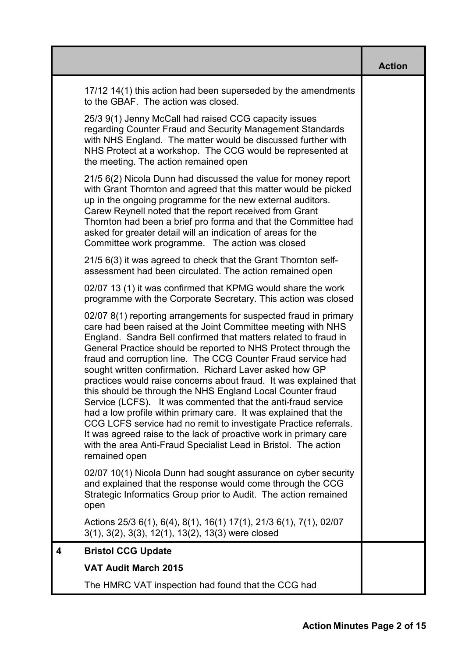|                                                                                                                                                                                                                                                                                                                                                                                                                                                                                                                                                                                                                                                                                                                                                                                                                                                                                                      | <b>Action</b> |
|------------------------------------------------------------------------------------------------------------------------------------------------------------------------------------------------------------------------------------------------------------------------------------------------------------------------------------------------------------------------------------------------------------------------------------------------------------------------------------------------------------------------------------------------------------------------------------------------------------------------------------------------------------------------------------------------------------------------------------------------------------------------------------------------------------------------------------------------------------------------------------------------------|---------------|
| 17/12 14(1) this action had been superseded by the amendments<br>to the GBAF. The action was closed.                                                                                                                                                                                                                                                                                                                                                                                                                                                                                                                                                                                                                                                                                                                                                                                                 |               |
| 25/3 9(1) Jenny McCall had raised CCG capacity issues<br>regarding Counter Fraud and Security Management Standards<br>with NHS England. The matter would be discussed further with<br>NHS Protect at a workshop. The CCG would be represented at<br>the meeting. The action remained open                                                                                                                                                                                                                                                                                                                                                                                                                                                                                                                                                                                                            |               |
| 21/5 6(2) Nicola Dunn had discussed the value for money report<br>with Grant Thornton and agreed that this matter would be picked<br>up in the ongoing programme for the new external auditors.<br>Carew Reynell noted that the report received from Grant<br>Thornton had been a brief pro forma and that the Committee had<br>asked for greater detail will an indication of areas for the<br>Committee work programme. The action was closed                                                                                                                                                                                                                                                                                                                                                                                                                                                      |               |
| 21/5 6(3) it was agreed to check that the Grant Thornton self-<br>assessment had been circulated. The action remained open                                                                                                                                                                                                                                                                                                                                                                                                                                                                                                                                                                                                                                                                                                                                                                           |               |
| 02/07 13 (1) it was confirmed that KPMG would share the work<br>programme with the Corporate Secretary. This action was closed                                                                                                                                                                                                                                                                                                                                                                                                                                                                                                                                                                                                                                                                                                                                                                       |               |
| 02/07 8(1) reporting arrangements for suspected fraud in primary<br>care had been raised at the Joint Committee meeting with NHS<br>England. Sandra Bell confirmed that matters related to fraud in<br>General Practice should be reported to NHS Protect through the<br>fraud and corruption line. The CCG Counter Fraud service had<br>sought written confirmation. Richard Laver asked how GP<br>practices would raise concerns about fraud. It was explained that<br>this should be through the NHS England Local Counter fraud<br>Service (LCFS). It was commented that the anti-fraud service<br>had a low profile within primary care. It was explained that the<br>CCG LCFS service had no remit to investigate Practice referrals.<br>It was agreed raise to the lack of proactive work in primary care<br>with the area Anti-Fraud Specialist Lead in Bristol. The action<br>remained open |               |
| 02/07 10(1) Nicola Dunn had sought assurance on cyber security<br>and explained that the response would come through the CCG<br>Strategic Informatics Group prior to Audit. The action remained<br>open                                                                                                                                                                                                                                                                                                                                                                                                                                                                                                                                                                                                                                                                                              |               |
| Actions 25/3 6(1), 6(4), 8(1), 16(1) 17(1), 21/3 6(1), 7(1), 02/07<br>3(1), 3(2), 3(3), 12(1), 13(2), 13(3) were closed                                                                                                                                                                                                                                                                                                                                                                                                                                                                                                                                                                                                                                                                                                                                                                              |               |
| <b>Bristol CCG Update</b><br>4                                                                                                                                                                                                                                                                                                                                                                                                                                                                                                                                                                                                                                                                                                                                                                                                                                                                       |               |
| <b>VAT Audit March 2015</b>                                                                                                                                                                                                                                                                                                                                                                                                                                                                                                                                                                                                                                                                                                                                                                                                                                                                          |               |
| The HMRC VAT inspection had found that the CCG had                                                                                                                                                                                                                                                                                                                                                                                                                                                                                                                                                                                                                                                                                                                                                                                                                                                   |               |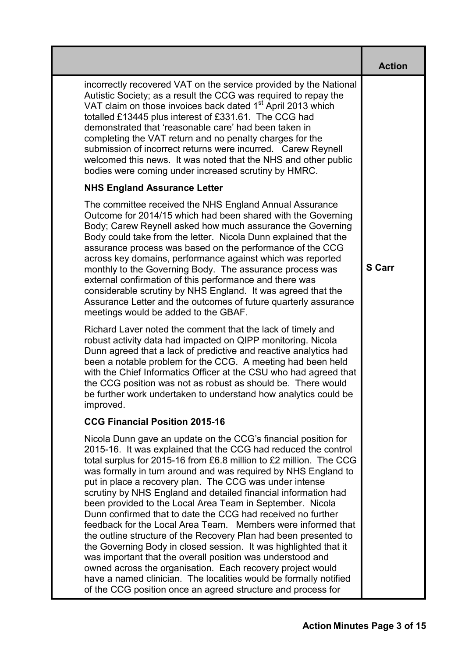|                                                                                                                                                                                                                                                                                                                                                                                                                                                                                                                                                                                                                                                                                                                                                                                                                                                                                                                                                                                                            | <b>Action</b> |
|------------------------------------------------------------------------------------------------------------------------------------------------------------------------------------------------------------------------------------------------------------------------------------------------------------------------------------------------------------------------------------------------------------------------------------------------------------------------------------------------------------------------------------------------------------------------------------------------------------------------------------------------------------------------------------------------------------------------------------------------------------------------------------------------------------------------------------------------------------------------------------------------------------------------------------------------------------------------------------------------------------|---------------|
| incorrectly recovered VAT on the service provided by the National<br>Autistic Society; as a result the CCG was required to repay the<br>VAT claim on those invoices back dated 1 <sup>st</sup> April 2013 which<br>totalled £13445 plus interest of £331.61. The CCG had<br>demonstrated that 'reasonable care' had been taken in<br>completing the VAT return and no penalty charges for the<br>submission of incorrect returns were incurred. Carew Reynell<br>welcomed this news. It was noted that the NHS and other public<br>bodies were coming under increased scrutiny by HMRC.                                                                                                                                                                                                                                                                                                                                                                                                                    |               |
| <b>NHS England Assurance Letter</b>                                                                                                                                                                                                                                                                                                                                                                                                                                                                                                                                                                                                                                                                                                                                                                                                                                                                                                                                                                        |               |
| The committee received the NHS England Annual Assurance<br>Outcome for 2014/15 which had been shared with the Governing<br>Body; Carew Reynell asked how much assurance the Governing<br>Body could take from the letter. Nicola Dunn explained that the<br>assurance process was based on the performance of the CCG<br>across key domains, performance against which was reported<br>monthly to the Governing Body. The assurance process was<br>external confirmation of this performance and there was<br>considerable scrutiny by NHS England. It was agreed that the<br>Assurance Letter and the outcomes of future quarterly assurance<br>meetings would be added to the GBAF.                                                                                                                                                                                                                                                                                                                      | <b>S</b> Carr |
| Richard Laver noted the comment that the lack of timely and<br>robust activity data had impacted on QIPP monitoring. Nicola<br>Dunn agreed that a lack of predictive and reactive analytics had<br>been a notable problem for the CCG. A meeting had been held<br>with the Chief Informatics Officer at the CSU who had agreed that<br>the CCG position was not as robust as should be. There would<br>be further work undertaken to understand how analytics could be<br>improved.                                                                                                                                                                                                                                                                                                                                                                                                                                                                                                                        |               |
| <b>CCG Financial Position 2015-16</b>                                                                                                                                                                                                                                                                                                                                                                                                                                                                                                                                                                                                                                                                                                                                                                                                                                                                                                                                                                      |               |
| Nicola Dunn gave an update on the CCG's financial position for<br>2015-16. It was explained that the CCG had reduced the control<br>total surplus for 2015-16 from £6.8 million to £2 million. The CCG<br>was formally in turn around and was required by NHS England to<br>put in place a recovery plan. The CCG was under intense<br>scrutiny by NHS England and detailed financial information had<br>been provided to the Local Area Team in September. Nicola<br>Dunn confirmed that to date the CCG had received no further<br>feedback for the Local Area Team. Members were informed that<br>the outline structure of the Recovery Plan had been presented to<br>the Governing Body in closed session. It was highlighted that it<br>was important that the overall position was understood and<br>owned across the organisation. Each recovery project would<br>have a named clinician. The localities would be formally notified<br>of the CCG position once an agreed structure and process for |               |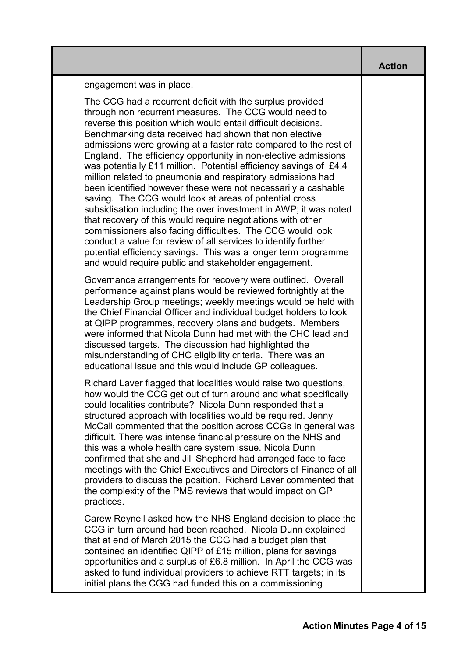**Action** 

engagement was in place.

The CCG had a recurrent deficit with the surplus provided through non recurrent measures. The CCG would need to reverse this position which would entail difficult decisions. Benchmarking data received had shown that non elective admissions were growing at a faster rate compared to the rest of England. The efficiency opportunity in non-elective admissions was potentially £11 million. Potential efficiency savings of £4.4 million related to pneumonia and respiratory admissions had been identified however these were not necessarily a cashable saving.The CCG would look at areas of potential cross subsidisation including the over investment in AWP; it was noted that recovery of this would require negotiations with other commissioners also facing difficulties.The CCG would look conduct a value for review of all services to identify further potential efficiency savings. This was a longer term programme and would require public and stakeholder engagement.

Governance arrangements for recovery were outlined. Overall performance against plans would be reviewed fortnightly at the Leadership Group meetings; weekly meetings would be held with the Chief Financial Officer and individual budget holders to look at QIPP programmes, recovery plans and budgets. Members were informed that Nicola Dunn had met with the CHC lead and discussed targets. The discussion had highlighted the misunderstanding of CHC eligibility criteria. There was an educational issue and this would include GP colleagues.

Richard Laver flagged that localities would raise two questions, how would the CCG get out of turn around and what specifically could localities contribute? Nicola Dunn responded that a structured approach with localities would be required. Jenny McCall commented that the position across CCGs in general was difficult. There was intense financial pressure on the NHS and this was a whole health care system issue. Nicola Dunn confirmed that she and Jill Shepherd had arranged face to face meetings with the Chief Executives and Directors of Finance of all providers to discuss the position. Richard Laver commented that the complexity of the PMS reviews that would impact on GP practices.

Carew Reynell asked how the NHS England decision to place the CCG in turn around had been reached. Nicola Dunn explained that at end of March 2015 the CCG had a budget plan that contained an identified QIPP of £15 million, plans for savings opportunities and a surplus of £6.8 million.In April the CCG was asked to fund individual providers to achieve RTT targets; in its initial plans the CGG had funded this on a commissioning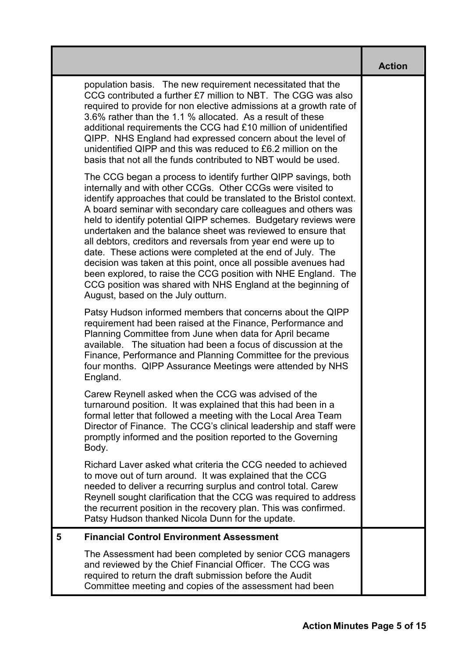|                                                                                                                                                                                                                                                                                                                                                                                                                                                                                                                                                                                                                                                                                                                                                                                    | <b>Action</b> |
|------------------------------------------------------------------------------------------------------------------------------------------------------------------------------------------------------------------------------------------------------------------------------------------------------------------------------------------------------------------------------------------------------------------------------------------------------------------------------------------------------------------------------------------------------------------------------------------------------------------------------------------------------------------------------------------------------------------------------------------------------------------------------------|---------------|
| population basis. The new requirement necessitated that the<br>CCG contributed a further £7 million to NBT. The CGG was also<br>required to provide for non elective admissions at a growth rate of<br>3.6% rather than the 1.1 % allocated. As a result of these<br>additional requirements the CCG had £10 million of unidentified<br>QIPP. NHS England had expressed concern about the level of<br>unidentified QIPP and this was reduced to £6.2 million on the<br>basis that not all the funds contributed to NBT would be used.                                                                                                                                                                                                                                              |               |
| The CCG began a process to identify further QIPP savings, both<br>internally and with other CCGs. Other CCGs were visited to<br>identify approaches that could be translated to the Bristol context.<br>A board seminar with secondary care colleagues and others was<br>held to identify potential QIPP schemes. Budgetary reviews were<br>undertaken and the balance sheet was reviewed to ensure that<br>all debtors, creditors and reversals from year end were up to<br>date. These actions were completed at the end of July. The<br>decision was taken at this point, once all possible avenues had<br>been explored, to raise the CCG position with NHE England. The<br>CCG position was shared with NHS England at the beginning of<br>August, based on the July outturn. |               |
| Patsy Hudson informed members that concerns about the QIPP<br>requirement had been raised at the Finance, Performance and<br>Planning Committee from June when data for April became<br>available. The situation had been a focus of discussion at the<br>Finance, Performance and Planning Committee for the previous<br>four months. QIPP Assurance Meetings were attended by NHS<br>England.                                                                                                                                                                                                                                                                                                                                                                                    |               |
| Carew Reynell asked when the CCG was advised of the<br>turnaround position. It was explained that this had been in a<br>formal letter that followed a meeting with the Local Area Team<br>Director of Finance. The CCG's clinical leadership and staff were<br>promptly informed and the position reported to the Governing<br>Body.                                                                                                                                                                                                                                                                                                                                                                                                                                               |               |
| Richard Laver asked what criteria the CCG needed to achieved<br>to move out of turn around. It was explained that the CCG<br>needed to deliver a recurring surplus and control total. Carew<br>Reynell sought clarification that the CCG was required to address<br>the recurrent position in the recovery plan. This was confirmed.<br>Patsy Hudson thanked Nicola Dunn for the update.                                                                                                                                                                                                                                                                                                                                                                                           |               |
| <b>Financial Control Environment Assessment</b><br>5                                                                                                                                                                                                                                                                                                                                                                                                                                                                                                                                                                                                                                                                                                                               |               |
| The Assessment had been completed by senior CCG managers<br>and reviewed by the Chief Financial Officer. The CCG was<br>required to return the draft submission before the Audit<br>Committee meeting and copies of the assessment had been                                                                                                                                                                                                                                                                                                                                                                                                                                                                                                                                        |               |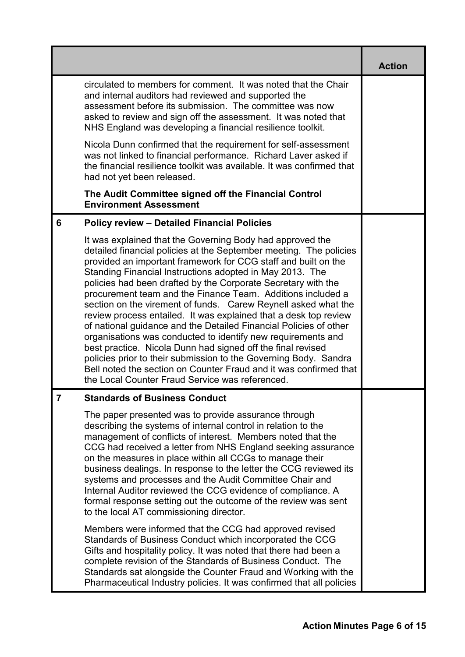|   |                                                                                                                                                                                                                                                                                                                                                                                                                                                                                                                                                                                                                                                                                                                                                                                                                                                                                                                                     | <b>Action</b> |
|---|-------------------------------------------------------------------------------------------------------------------------------------------------------------------------------------------------------------------------------------------------------------------------------------------------------------------------------------------------------------------------------------------------------------------------------------------------------------------------------------------------------------------------------------------------------------------------------------------------------------------------------------------------------------------------------------------------------------------------------------------------------------------------------------------------------------------------------------------------------------------------------------------------------------------------------------|---------------|
|   | circulated to members for comment. It was noted that the Chair<br>and internal auditors had reviewed and supported the<br>assessment before its submission. The committee was now<br>asked to review and sign off the assessment. It was noted that<br>NHS England was developing a financial resilience toolkit.                                                                                                                                                                                                                                                                                                                                                                                                                                                                                                                                                                                                                   |               |
|   | Nicola Dunn confirmed that the requirement for self-assessment<br>was not linked to financial performance. Richard Laver asked if<br>the financial resilience toolkit was available. It was confirmed that<br>had not yet been released.                                                                                                                                                                                                                                                                                                                                                                                                                                                                                                                                                                                                                                                                                            |               |
|   | The Audit Committee signed off the Financial Control<br><b>Environment Assessment</b>                                                                                                                                                                                                                                                                                                                                                                                                                                                                                                                                                                                                                                                                                                                                                                                                                                               |               |
| 6 | <b>Policy review - Detailed Financial Policies</b>                                                                                                                                                                                                                                                                                                                                                                                                                                                                                                                                                                                                                                                                                                                                                                                                                                                                                  |               |
|   | It was explained that the Governing Body had approved the<br>detailed financial policies at the September meeting. The policies<br>provided an important framework for CCG staff and built on the<br>Standing Financial Instructions adopted in May 2013. The<br>policies had been drafted by the Corporate Secretary with the<br>procurement team and the Finance Team. Additions included a<br>section on the virement of funds. Carew Reynell asked what the<br>review process entailed. It was explained that a desk top review<br>of national guidance and the Detailed Financial Policies of other<br>organisations was conducted to identify new requirements and<br>best practice. Nicola Dunn had signed off the final revised<br>policies prior to their submission to the Governing Body. Sandra<br>Bell noted the section on Counter Fraud and it was confirmed that<br>the Local Counter Fraud Service was referenced. |               |
| 1 | <b>Standards of Business Conduct</b>                                                                                                                                                                                                                                                                                                                                                                                                                                                                                                                                                                                                                                                                                                                                                                                                                                                                                                |               |
|   | The paper presented was to provide assurance through<br>describing the systems of internal control in relation to the<br>management of conflicts of interest. Members noted that the<br>CCG had received a letter from NHS England seeking assurance<br>on the measures in place within all CCGs to manage their<br>business dealings. In response to the letter the CCG reviewed its<br>systems and processes and the Audit Committee Chair and<br>Internal Auditor reviewed the CCG evidence of compliance. A<br>formal response setting out the outcome of the review was sent<br>to the local AT commissioning director.                                                                                                                                                                                                                                                                                                        |               |
|   | Members were informed that the CCG had approved revised<br>Standards of Business Conduct which incorporated the CCG<br>Gifts and hospitality policy. It was noted that there had been a<br>complete revision of the Standards of Business Conduct. The<br>Standards sat alongside the Counter Fraud and Working with the<br>Pharmaceutical Industry policies. It was confirmed that all policies                                                                                                                                                                                                                                                                                                                                                                                                                                                                                                                                    |               |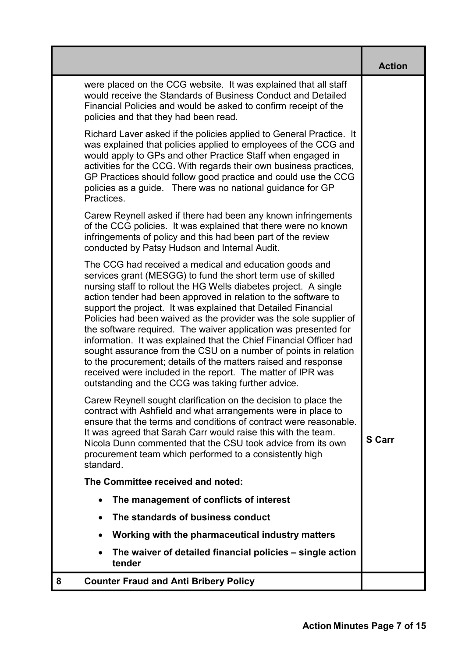|                                                                                                                                                                                                                                                                                                                                                                                                                                                                                                                                                                                                                                                                                                                                                                                                       | <b>Action</b> |
|-------------------------------------------------------------------------------------------------------------------------------------------------------------------------------------------------------------------------------------------------------------------------------------------------------------------------------------------------------------------------------------------------------------------------------------------------------------------------------------------------------------------------------------------------------------------------------------------------------------------------------------------------------------------------------------------------------------------------------------------------------------------------------------------------------|---------------|
| were placed on the CCG website. It was explained that all staff<br>would receive the Standards of Business Conduct and Detailed<br>Financial Policies and would be asked to confirm receipt of the<br>policies and that they had been read.                                                                                                                                                                                                                                                                                                                                                                                                                                                                                                                                                           |               |
| Richard Laver asked if the policies applied to General Practice. It<br>was explained that policies applied to employees of the CCG and<br>would apply to GPs and other Practice Staff when engaged in<br>activities for the CCG. With regards their own business practices,<br>GP Practices should follow good practice and could use the CCG<br>policies as a guide. There was no national guidance for GP<br>Practices.                                                                                                                                                                                                                                                                                                                                                                             |               |
| Carew Reynell asked if there had been any known infringements<br>of the CCG policies. It was explained that there were no known<br>infringements of policy and this had been part of the review<br>conducted by Patsy Hudson and Internal Audit.                                                                                                                                                                                                                                                                                                                                                                                                                                                                                                                                                      |               |
| The CCG had received a medical and education goods and<br>services grant (MESGG) to fund the short term use of skilled<br>nursing staff to rollout the HG Wells diabetes project. A single<br>action tender had been approved in relation to the software to<br>support the project. It was explained that Detailed Financial<br>Policies had been waived as the provider was the sole supplier of<br>the software required. The waiver application was presented for<br>information. It was explained that the Chief Financial Officer had<br>sought assurance from the CSU on a number of points in relation<br>to the procurement; details of the matters raised and response<br>received were included in the report. The matter of IPR was<br>outstanding and the CCG was taking further advice. |               |
| Carew Reynell sought clarification on the decision to place the<br>contract with Ashfield and what arrangements were in place to<br>ensure that the terms and conditions of contract were reasonable.<br>It was agreed that Sarah Carr would raise this with the team.<br>Nicola Dunn commented that the CSU took advice from its own<br>procurement team which performed to a consistently high<br>standard.                                                                                                                                                                                                                                                                                                                                                                                         | <b>S</b> Carr |
| The Committee received and noted:                                                                                                                                                                                                                                                                                                                                                                                                                                                                                                                                                                                                                                                                                                                                                                     |               |
| The management of conflicts of interest                                                                                                                                                                                                                                                                                                                                                                                                                                                                                                                                                                                                                                                                                                                                                               |               |
| The standards of business conduct                                                                                                                                                                                                                                                                                                                                                                                                                                                                                                                                                                                                                                                                                                                                                                     |               |
| Working with the pharmaceutical industry matters                                                                                                                                                                                                                                                                                                                                                                                                                                                                                                                                                                                                                                                                                                                                                      |               |
| The waiver of detailed financial policies – single action<br>tender                                                                                                                                                                                                                                                                                                                                                                                                                                                                                                                                                                                                                                                                                                                                   |               |
| <b>Counter Fraud and Anti Bribery Policy</b>                                                                                                                                                                                                                                                                                                                                                                                                                                                                                                                                                                                                                                                                                                                                                          |               |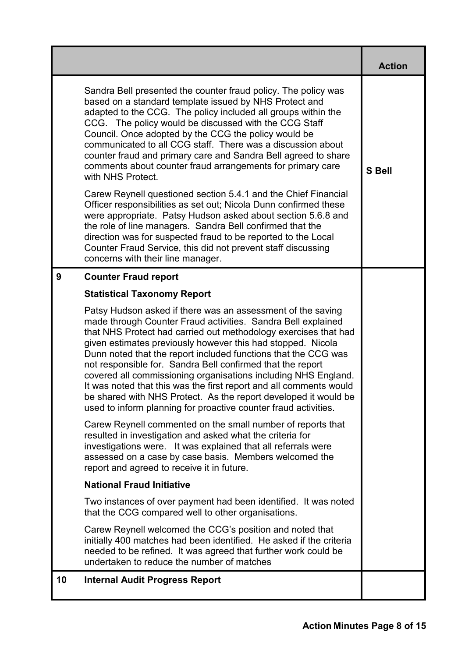|                                                                                                                                                                                                                                                                                                                                                                                                                                                                                                                                                                                                                                                                             | <b>Action</b> |
|-----------------------------------------------------------------------------------------------------------------------------------------------------------------------------------------------------------------------------------------------------------------------------------------------------------------------------------------------------------------------------------------------------------------------------------------------------------------------------------------------------------------------------------------------------------------------------------------------------------------------------------------------------------------------------|---------------|
| Sandra Bell presented the counter fraud policy. The policy was<br>based on a standard template issued by NHS Protect and<br>adapted to the CCG. The policy included all groups within the<br>CCG. The policy would be discussed with the CCG Staff<br>Council. Once adopted by the CCG the policy would be<br>communicated to all CCG staff. There was a discussion about<br>counter fraud and primary care and Sandra Bell agreed to share<br>comments about counter fraud arrangements for primary care<br>with NHS Protect.                                                                                                                                              | <b>S</b> Bell |
| Carew Reynell questioned section 5.4.1 and the Chief Financial<br>Officer responsibilities as set out; Nicola Dunn confirmed these<br>were appropriate. Patsy Hudson asked about section 5.6.8 and<br>the role of line managers. Sandra Bell confirmed that the<br>direction was for suspected fraud to be reported to the Local<br>Counter Fraud Service, this did not prevent staff discussing<br>concerns with their line manager.                                                                                                                                                                                                                                       |               |
| 9<br><b>Counter Fraud report</b>                                                                                                                                                                                                                                                                                                                                                                                                                                                                                                                                                                                                                                            |               |
| <b>Statistical Taxonomy Report</b>                                                                                                                                                                                                                                                                                                                                                                                                                                                                                                                                                                                                                                          |               |
| Patsy Hudson asked if there was an assessment of the saving<br>made through Counter Fraud activities. Sandra Bell explained<br>that NHS Protect had carried out methodology exercises that had<br>given estimates previously however this had stopped. Nicola<br>Dunn noted that the report included functions that the CCG was<br>not responsible for. Sandra Bell confirmed that the report<br>covered all commissioning organisations including NHS England.<br>It was noted that this was the first report and all comments would<br>be shared with NHS Protect. As the report developed it would be<br>used to inform planning for proactive counter fraud activities. |               |
| Carew Reynell commented on the small number of reports that<br>resulted in investigation and asked what the criteria for<br>investigations were. It was explained that all referrals were<br>assessed on a case by case basis. Members welcomed the<br>report and agreed to receive it in future.                                                                                                                                                                                                                                                                                                                                                                           |               |
| <b>National Fraud Initiative</b>                                                                                                                                                                                                                                                                                                                                                                                                                                                                                                                                                                                                                                            |               |
| Two instances of over payment had been identified. It was noted<br>that the CCG compared well to other organisations.                                                                                                                                                                                                                                                                                                                                                                                                                                                                                                                                                       |               |
| Carew Reynell welcomed the CCG's position and noted that<br>initially 400 matches had been identified. He asked if the criteria<br>needed to be refined. It was agreed that further work could be<br>undertaken to reduce the number of matches                                                                                                                                                                                                                                                                                                                                                                                                                             |               |
| 10<br><b>Internal Audit Progress Report</b>                                                                                                                                                                                                                                                                                                                                                                                                                                                                                                                                                                                                                                 |               |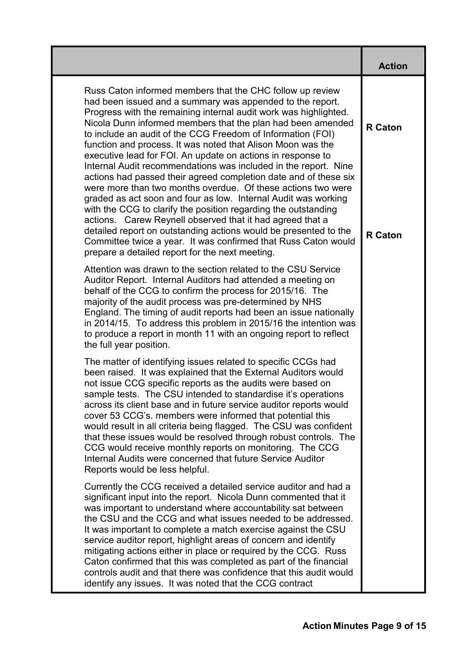|                                                                                                                                                                                                                                                                                                                                                                                                                                                                                                                                                                                                                                                                                                                                                                                                                                                                                                                                                                                                                                                         | <b>Action</b>                    |
|---------------------------------------------------------------------------------------------------------------------------------------------------------------------------------------------------------------------------------------------------------------------------------------------------------------------------------------------------------------------------------------------------------------------------------------------------------------------------------------------------------------------------------------------------------------------------------------------------------------------------------------------------------------------------------------------------------------------------------------------------------------------------------------------------------------------------------------------------------------------------------------------------------------------------------------------------------------------------------------------------------------------------------------------------------|----------------------------------|
| Russ Caton informed members that the CHC follow up review<br>had been issued and a summary was appended to the report.<br>Progress with the remaining internal audit work was highlighted.<br>Nicola Dunn informed members that the plan had been amended<br>to include an audit of the CCG Freedom of Information (FOI)<br>function and process. It was noted that Alison Moon was the<br>executive lead for FOI. An update on actions in response to<br>Internal Audit recommendations was included in the report. Nine<br>actions had passed their agreed completion date and of these six<br>were more than two months overdue. Of these actions two were<br>graded as act soon and four as low. Internal Audit was working<br>with the CCG to clarify the position regarding the outstanding<br>actions. Carew Reynell observed that it had agreed that a<br>detailed report on outstanding actions would be presented to the<br>Committee twice a year. It was confirmed that Russ Caton would<br>prepare a detailed report for the next meeting. | <b>R</b> Caton<br><b>R</b> Caton |
| Attention was drawn to the section related to the CSU Service<br>Auditor Report. Internal Auditors had attended a meeting on<br>behalf of the CCG to confirm the process for 2015/16. The<br>majority of the audit process was pre-determined by NHS<br>England. The timing of audit reports had been an issue nationally<br>in 2014/15. To address this problem in 2015/16 the intention was<br>to produce a report in month 11 with an ongoing report to reflect<br>the full year position.                                                                                                                                                                                                                                                                                                                                                                                                                                                                                                                                                           |                                  |
| The matter of identifying issues related to specific CCGs had<br>been raised. It was explained that the External Auditors would<br>not issue CCG specific reports as the audits were based on<br>sample tests. The CSU intended to standardise it's operations<br>across its client base and in future service auditor reports would<br>cover 53 CCG's. members were informed that potential this<br>would result in all criteria being flagged. The CSU was confident<br>that these issues would be resolved through robust controls. The<br>CCG would receive monthly reports on monitoring. The CCG<br>Internal Audits were concerned that future Service Auditor<br>Reports would be less helpful.                                                                                                                                                                                                                                                                                                                                                  |                                  |
| Currently the CCG received a detailed service auditor and had a<br>significant input into the report. Nicola Dunn commented that it<br>was important to understand where accountability sat between<br>the CSU and the CCG and what issues needed to be addressed.<br>It was important to complete a match exercise against the CSU<br>service auditor report, highlight areas of concern and identify<br>mitigating actions either in place or required by the CCG. Russ<br>Caton confirmed that this was completed as part of the financial<br>controls audit and that there was confidence that this audit would<br>identify any issues. It was noted that the CCG contract                                                                                                                                                                                                                                                                                                                                                                          |                                  |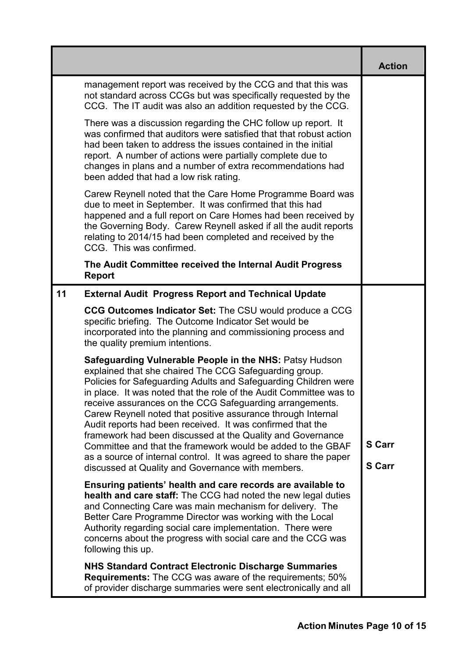|    |                                                                                                                                                                                                                                                                                                                                                                                                                                                                                                                                                                                                                                                                                                                    | <b>Action</b>                  |
|----|--------------------------------------------------------------------------------------------------------------------------------------------------------------------------------------------------------------------------------------------------------------------------------------------------------------------------------------------------------------------------------------------------------------------------------------------------------------------------------------------------------------------------------------------------------------------------------------------------------------------------------------------------------------------------------------------------------------------|--------------------------------|
|    | management report was received by the CCG and that this was<br>not standard across CCGs but was specifically requested by the<br>CCG. The IT audit was also an addition requested by the CCG.                                                                                                                                                                                                                                                                                                                                                                                                                                                                                                                      |                                |
|    | There was a discussion regarding the CHC follow up report. It<br>was confirmed that auditors were satisfied that that robust action<br>had been taken to address the issues contained in the initial<br>report. A number of actions were partially complete due to<br>changes in plans and a number of extra recommendations had<br>been added that had a low risk rating.                                                                                                                                                                                                                                                                                                                                         |                                |
|    | Carew Reynell noted that the Care Home Programme Board was<br>due to meet in September. It was confirmed that this had<br>happened and a full report on Care Homes had been received by<br>the Governing Body. Carew Reynell asked if all the audit reports<br>relating to 2014/15 had been completed and received by the<br>CCG. This was confirmed.                                                                                                                                                                                                                                                                                                                                                              |                                |
|    | The Audit Committee received the Internal Audit Progress<br><b>Report</b>                                                                                                                                                                                                                                                                                                                                                                                                                                                                                                                                                                                                                                          |                                |
| 11 | <b>External Audit Progress Report and Technical Update</b>                                                                                                                                                                                                                                                                                                                                                                                                                                                                                                                                                                                                                                                         |                                |
|    | CCG Outcomes Indicator Set: The CSU would produce a CCG<br>specific briefing. The Outcome Indicator Set would be<br>incorporated into the planning and commissioning process and<br>the quality premium intentions.                                                                                                                                                                                                                                                                                                                                                                                                                                                                                                |                                |
|    | <b>Safeguarding Vulnerable People in the NHS: Patsy Hudson</b><br>explained that she chaired The CCG Safeguarding group.<br>Policies for Safeguarding Adults and Safeguarding Children were<br>in place. It was noted that the role of the Audit Committee was to<br>receive assurances on the CCG Safeguarding arrangements.<br>Carew Reynell noted that positive assurance through Internal<br>Audit reports had been received. It was confirmed that the<br>framework had been discussed at the Quality and Governance<br>Committee and that the framework would be added to the GBAF<br>as a source of internal control. It was agreed to share the paper<br>discussed at Quality and Governance with members. | <b>S</b> Carr<br><b>S</b> Carr |
|    | Ensuring patients' health and care records are available to<br>health and care staff: The CCG had noted the new legal duties<br>and Connecting Care was main mechanism for delivery. The<br>Better Care Programme Director was working with the Local<br>Authority regarding social care implementation. There were<br>concerns about the progress with social care and the CCG was<br>following this up.                                                                                                                                                                                                                                                                                                          |                                |
|    | <b>NHS Standard Contract Electronic Discharge Summaries</b><br><b>Requirements:</b> The CCG was aware of the requirements; 50%<br>of provider discharge summaries were sent electronically and all                                                                                                                                                                                                                                                                                                                                                                                                                                                                                                                 |                                |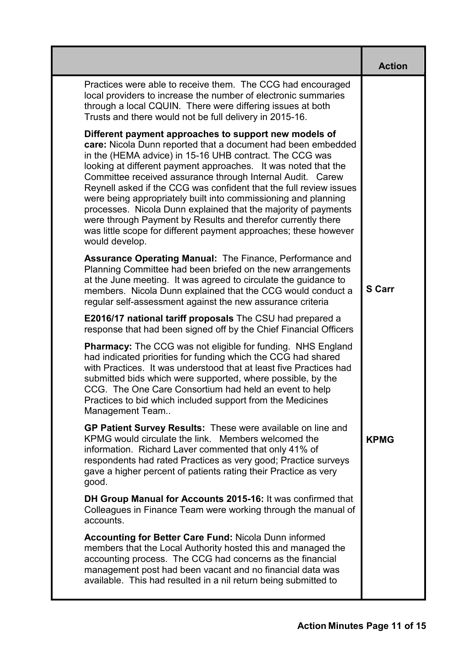|                                                                                                                                                                                                                                                                                                                                                                                                                                                                                                                                                                                                                                                                                  | <b>Action</b> |
|----------------------------------------------------------------------------------------------------------------------------------------------------------------------------------------------------------------------------------------------------------------------------------------------------------------------------------------------------------------------------------------------------------------------------------------------------------------------------------------------------------------------------------------------------------------------------------------------------------------------------------------------------------------------------------|---------------|
| Practices were able to receive them. The CCG had encouraged<br>local providers to increase the number of electronic summaries<br>through a local CQUIN. There were differing issues at both<br>Trusts and there would not be full delivery in 2015-16.                                                                                                                                                                                                                                                                                                                                                                                                                           |               |
| Different payment approaches to support new models of<br>care: Nicola Dunn reported that a document had been embedded<br>in the (HEMA advice) in 15-16 UHB contract. The CCG was<br>looking at different payment approaches. It was noted that the<br>Committee received assurance through Internal Audit. Carew<br>Reynell asked if the CCG was confident that the full review issues<br>were being appropriately built into commissioning and planning<br>processes. Nicola Dunn explained that the majority of payments<br>were through Payment by Results and therefor currently there<br>was little scope for different payment approaches; these however<br>would develop. |               |
| <b>Assurance Operating Manual: The Finance, Performance and</b><br>Planning Committee had been briefed on the new arrangements<br>at the June meeting. It was agreed to circulate the guidance to<br>members. Nicola Dunn explained that the CCG would conduct a<br>regular self-assessment against the new assurance criteria                                                                                                                                                                                                                                                                                                                                                   | <b>S</b> Carr |
| <b>E2016/17 national tariff proposals</b> The CSU had prepared a<br>response that had been signed off by the Chief Financial Officers                                                                                                                                                                                                                                                                                                                                                                                                                                                                                                                                            |               |
| <b>Pharmacy:</b> The CCG was not eligible for funding. NHS England<br>had indicated priorities for funding which the CCG had shared<br>with Practices. It was understood that at least five Practices had<br>submitted bids which were supported, where possible, by the<br>CCG. The One Care Consortium had held an event to help<br>Practices to bid which included support from the Medicines<br>Management Team                                                                                                                                                                                                                                                              |               |
| GP Patient Survey Results: These were available on line and<br>KPMG would circulate the link. Members welcomed the<br>information. Richard Laver commented that only 41% of<br>respondents had rated Practices as very good; Practice surveys<br>gave a higher percent of patients rating their Practice as very<br>good.                                                                                                                                                                                                                                                                                                                                                        | <b>KPMG</b>   |
| DH Group Manual for Accounts 2015-16: It was confirmed that<br>Colleagues in Finance Team were working through the manual of<br>accounts.                                                                                                                                                                                                                                                                                                                                                                                                                                                                                                                                        |               |
| <b>Accounting for Better Care Fund: Nicola Dunn informed</b><br>members that the Local Authority hosted this and managed the<br>accounting process. The CCG had concerns as the financial<br>management post had been vacant and no financial data was<br>available. This had resulted in a nil return being submitted to                                                                                                                                                                                                                                                                                                                                                        |               |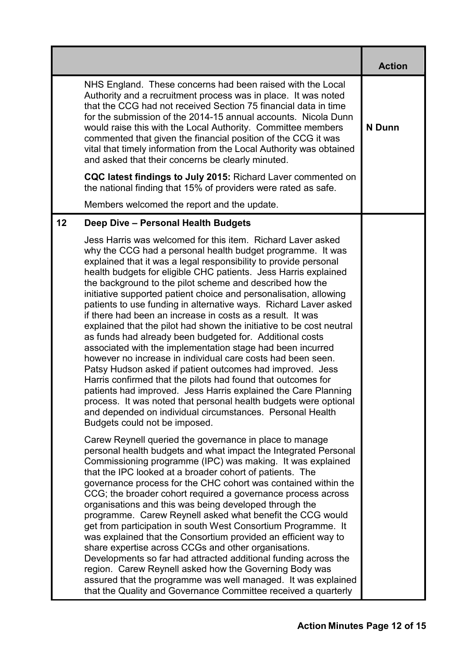|    |                                                                                                                                                                                                                                                                                                                                                                                                                                                                                                                                                                                                                                                                                                                                                                                                                                                                                                                                                                                                                                                                                                                                                                       | <b>Action</b> |
|----|-----------------------------------------------------------------------------------------------------------------------------------------------------------------------------------------------------------------------------------------------------------------------------------------------------------------------------------------------------------------------------------------------------------------------------------------------------------------------------------------------------------------------------------------------------------------------------------------------------------------------------------------------------------------------------------------------------------------------------------------------------------------------------------------------------------------------------------------------------------------------------------------------------------------------------------------------------------------------------------------------------------------------------------------------------------------------------------------------------------------------------------------------------------------------|---------------|
|    | NHS England. These concerns had been raised with the Local<br>Authority and a recruitment process was in place. It was noted<br>that the CCG had not received Section 75 financial data in time<br>for the submission of the 2014-15 annual accounts. Nicola Dunn<br>would raise this with the Local Authority. Committee members<br>commented that given the financial position of the CCG it was<br>vital that timely information from the Local Authority was obtained<br>and asked that their concerns be clearly minuted.                                                                                                                                                                                                                                                                                                                                                                                                                                                                                                                                                                                                                                        | N Dunn        |
|    | CQC latest findings to July 2015: Richard Laver commented on<br>the national finding that 15% of providers were rated as safe.                                                                                                                                                                                                                                                                                                                                                                                                                                                                                                                                                                                                                                                                                                                                                                                                                                                                                                                                                                                                                                        |               |
|    | Members welcomed the report and the update.                                                                                                                                                                                                                                                                                                                                                                                                                                                                                                                                                                                                                                                                                                                                                                                                                                                                                                                                                                                                                                                                                                                           |               |
| 12 | Deep Dive - Personal Health Budgets                                                                                                                                                                                                                                                                                                                                                                                                                                                                                                                                                                                                                                                                                                                                                                                                                                                                                                                                                                                                                                                                                                                                   |               |
|    | Jess Harris was welcomed for this item. Richard Laver asked<br>why the CCG had a personal health budget programme. It was<br>explained that it was a legal responsibility to provide personal<br>health budgets for eligible CHC patients. Jess Harris explained<br>the background to the pilot scheme and described how the<br>initiative supported patient choice and personalisation, allowing<br>patients to use funding in alternative ways. Richard Laver asked<br>if there had been an increase in costs as a result. It was<br>explained that the pilot had shown the initiative to be cost neutral<br>as funds had already been budgeted for. Additional costs<br>associated with the implementation stage had been incurred<br>however no increase in individual care costs had been seen.<br>Patsy Hudson asked if patient outcomes had improved. Jess<br>Harris confirmed that the pilots had found that outcomes for<br>patients had improved. Jess Harris explained the Care Planning<br>process. It was noted that personal health budgets were optional<br>and depended on individual circumstances. Personal Health<br>Budgets could not be imposed. |               |
|    | Carew Reynell queried the governance in place to manage<br>personal health budgets and what impact the Integrated Personal<br>Commissioning programme (IPC) was making. It was explained<br>that the IPC looked at a broader cohort of patients. The<br>governance process for the CHC cohort was contained within the<br>CCG; the broader cohort required a governance process across<br>organisations and this was being developed through the<br>programme. Carew Reynell asked what benefit the CCG would<br>get from participation in south West Consortium Programme. It<br>was explained that the Consortium provided an efficient way to<br>share expertise across CCGs and other organisations.<br>Developments so far had attracted additional funding across the<br>region. Carew Reynell asked how the Governing Body was<br>assured that the programme was well managed. It was explained<br>that the Quality and Governance Committee received a quarterly                                                                                                                                                                                              |               |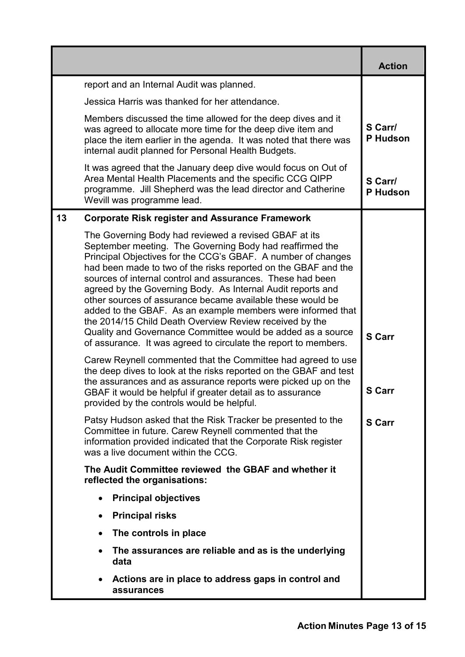|    |                                                                                                                                                                                                                                                                                                                                                                                                                                                                                                                                                                                                                                                                                                            | <b>Action</b>       |
|----|------------------------------------------------------------------------------------------------------------------------------------------------------------------------------------------------------------------------------------------------------------------------------------------------------------------------------------------------------------------------------------------------------------------------------------------------------------------------------------------------------------------------------------------------------------------------------------------------------------------------------------------------------------------------------------------------------------|---------------------|
|    | report and an Internal Audit was planned.                                                                                                                                                                                                                                                                                                                                                                                                                                                                                                                                                                                                                                                                  |                     |
|    | Jessica Harris was thanked for her attendance.                                                                                                                                                                                                                                                                                                                                                                                                                                                                                                                                                                                                                                                             |                     |
|    | Members discussed the time allowed for the deep dives and it<br>was agreed to allocate more time for the deep dive item and<br>place the item earlier in the agenda. It was noted that there was<br>internal audit planned for Personal Health Budgets.                                                                                                                                                                                                                                                                                                                                                                                                                                                    | S Carr/<br>P Hudson |
|    | It was agreed that the January deep dive would focus on Out of<br>Area Mental Health Placements and the specific CCG QIPP<br>programme. Jill Shepherd was the lead director and Catherine<br>Wevill was programme lead.                                                                                                                                                                                                                                                                                                                                                                                                                                                                                    | S Carr/<br>P Hudson |
| 13 | <b>Corporate Risk register and Assurance Framework</b>                                                                                                                                                                                                                                                                                                                                                                                                                                                                                                                                                                                                                                                     |                     |
|    | The Governing Body had reviewed a revised GBAF at its<br>September meeting. The Governing Body had reaffirmed the<br>Principal Objectives for the CCG's GBAF. A number of changes<br>had been made to two of the risks reported on the GBAF and the<br>sources of internal control and assurances. These had been<br>agreed by the Governing Body. As Internal Audit reports and<br>other sources of assurance became available these would be<br>added to the GBAF. As an example members were informed that<br>the 2014/15 Child Death Overview Review received by the<br>Quality and Governance Committee would be added as a source<br>of assurance. It was agreed to circulate the report to members. | <b>S</b> Carr       |
|    | Carew Reynell commented that the Committee had agreed to use<br>the deep dives to look at the risks reported on the GBAF and test                                                                                                                                                                                                                                                                                                                                                                                                                                                                                                                                                                          |                     |
|    | the assurances and as assurance reports were picked up on the<br>GBAF it would be helpful if greater detail as to assurance<br>provided by the controls would be helpful.                                                                                                                                                                                                                                                                                                                                                                                                                                                                                                                                  | <b>S Carr</b>       |
|    | Patsy Hudson asked that the Risk Tracker be presented to the<br>Committee in future. Carew Reynell commented that the<br>information provided indicated that the Corporate Risk register<br>was a live document within the CCG.                                                                                                                                                                                                                                                                                                                                                                                                                                                                            | <b>S</b> Carr       |
|    | The Audit Committee reviewed the GBAF and whether it<br>reflected the organisations:                                                                                                                                                                                                                                                                                                                                                                                                                                                                                                                                                                                                                       |                     |
|    | <b>Principal objectives</b>                                                                                                                                                                                                                                                                                                                                                                                                                                                                                                                                                                                                                                                                                |                     |
|    | <b>Principal risks</b>                                                                                                                                                                                                                                                                                                                                                                                                                                                                                                                                                                                                                                                                                     |                     |
|    | The controls in place                                                                                                                                                                                                                                                                                                                                                                                                                                                                                                                                                                                                                                                                                      |                     |
|    | The assurances are reliable and as is the underlying<br>data                                                                                                                                                                                                                                                                                                                                                                                                                                                                                                                                                                                                                                               |                     |
|    | Actions are in place to address gaps in control and<br>assurances                                                                                                                                                                                                                                                                                                                                                                                                                                                                                                                                                                                                                                          |                     |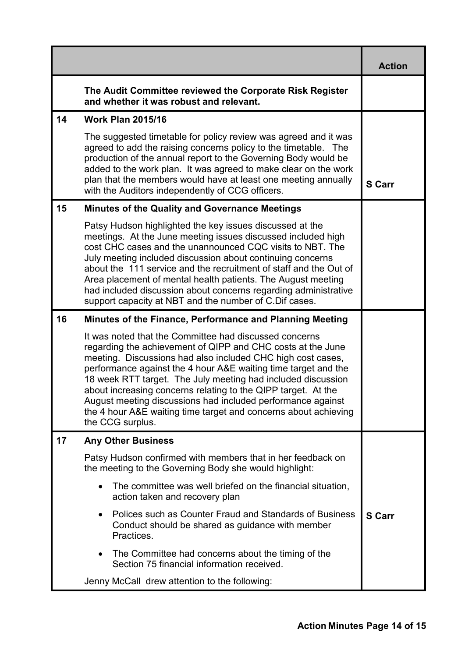|    |                                                                                                                                                                                                                                                                                                                                                                                                                                                                                                                                               | <b>Action</b> |
|----|-----------------------------------------------------------------------------------------------------------------------------------------------------------------------------------------------------------------------------------------------------------------------------------------------------------------------------------------------------------------------------------------------------------------------------------------------------------------------------------------------------------------------------------------------|---------------|
|    | The Audit Committee reviewed the Corporate Risk Register<br>and whether it was robust and relevant.                                                                                                                                                                                                                                                                                                                                                                                                                                           |               |
| 14 | <b>Work Plan 2015/16</b>                                                                                                                                                                                                                                                                                                                                                                                                                                                                                                                      |               |
|    | The suggested timetable for policy review was agreed and it was<br>agreed to add the raising concerns policy to the timetable. The<br>production of the annual report to the Governing Body would be<br>added to the work plan. It was agreed to make clear on the work<br>plan that the members would have at least one meeting annually<br>with the Auditors independently of CCG officers.                                                                                                                                                 | <b>S</b> Carr |
| 15 | <b>Minutes of the Quality and Governance Meetings</b>                                                                                                                                                                                                                                                                                                                                                                                                                                                                                         |               |
|    | Patsy Hudson highlighted the key issues discussed at the<br>meetings. At the June meeting issues discussed included high<br>cost CHC cases and the unannounced CQC visits to NBT. The<br>July meeting included discussion about continuing concerns<br>about the 111 service and the recruitment of staff and the Out of<br>Area placement of mental health patients. The August meeting<br>had included discussion about concerns regarding administrative<br>support capacity at NBT and the number of C.Dif cases.                         |               |
| 16 | Minutes of the Finance, Performance and Planning Meeting                                                                                                                                                                                                                                                                                                                                                                                                                                                                                      |               |
|    | It was noted that the Committee had discussed concerns<br>regarding the achievement of QIPP and CHC costs at the June<br>meeting. Discussions had also included CHC high cost cases,<br>performance against the 4 hour A&E waiting time target and the<br>18 week RTT target. The July meeting had included discussion<br>about increasing concerns relating to the QIPP target. At the<br>August meeting discussions had included performance against<br>the 4 hour A&E waiting time target and concerns about achieving<br>the CCG surplus. |               |
| 17 | <b>Any Other Business</b>                                                                                                                                                                                                                                                                                                                                                                                                                                                                                                                     |               |
|    | Patsy Hudson confirmed with members that in her feedback on<br>the meeting to the Governing Body she would highlight:                                                                                                                                                                                                                                                                                                                                                                                                                         |               |
|    | The committee was well briefed on the financial situation,<br>action taken and recovery plan                                                                                                                                                                                                                                                                                                                                                                                                                                                  |               |
|    | Polices such as Counter Fraud and Standards of Business<br>$\bullet$<br>Conduct should be shared as guidance with member<br>Practices.                                                                                                                                                                                                                                                                                                                                                                                                        | <b>S</b> Carr |
|    | The Committee had concerns about the timing of the<br>Section 75 financial information received.                                                                                                                                                                                                                                                                                                                                                                                                                                              |               |
|    | Jenny McCall drew attention to the following:                                                                                                                                                                                                                                                                                                                                                                                                                                                                                                 |               |